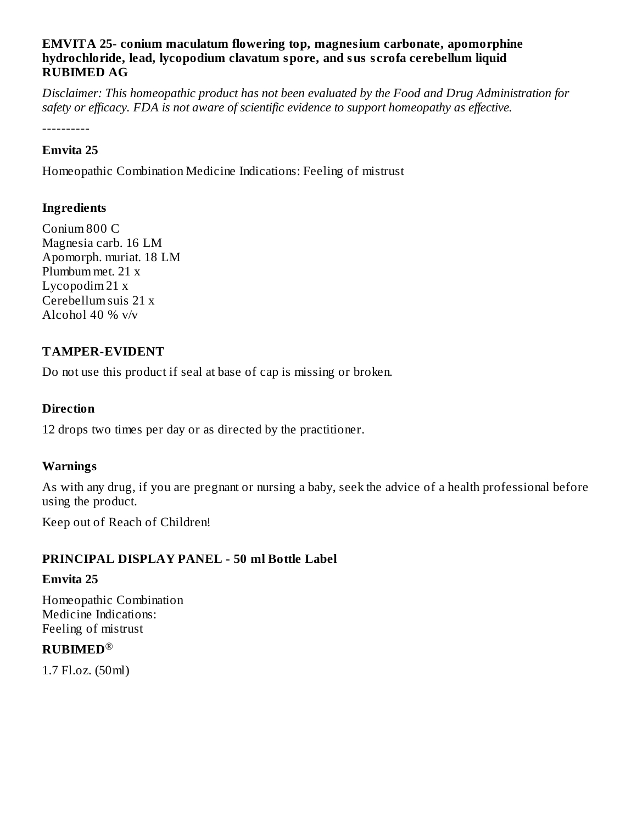#### **EMVITA 25- conium maculatum flowering top, magnesium carbonate, apomorphine hydrochloride, lead, lycopodium clavatum spore, and sus s crofa cerebellum liquid RUBIMED AG**

*Disclaimer: This homeopathic product has not been evaluated by the Food and Drug Administration for safety or efficacy. FDA is not aware of scientific evidence to support homeopathy as effective.*

----------

#### **Emvita 25**

Homeopathic Combination Medicine Indications: Feeling of mistrust

## **Ingredients**

Conium 800 C Magnesia carb. 16 LM Apomorph. muriat. 18 LM Plumbum met. 21 x Lycopodim 21 x Cerebellum suis 21 x Alcohol 40 % v/v

## **TAMPER-EVIDENT**

Do not use this product if seal at base of cap is missing or broken.

#### **Direction**

12 drops two times per day or as directed by the practitioner.

### **Warnings**

As with any drug, if you are pregnant or nursing a baby, seek the advice of a health professional before using the product.

Keep out of Reach of Children!

### **PRINCIPAL DISPLAY PANEL - 50 ml Bottle Label**

#### **Emvita 25**

Homeopathic Combination Medicine Indications: Feeling of mistrust

## **RUBIMED** ®

1.7 Fl.oz. (50ml)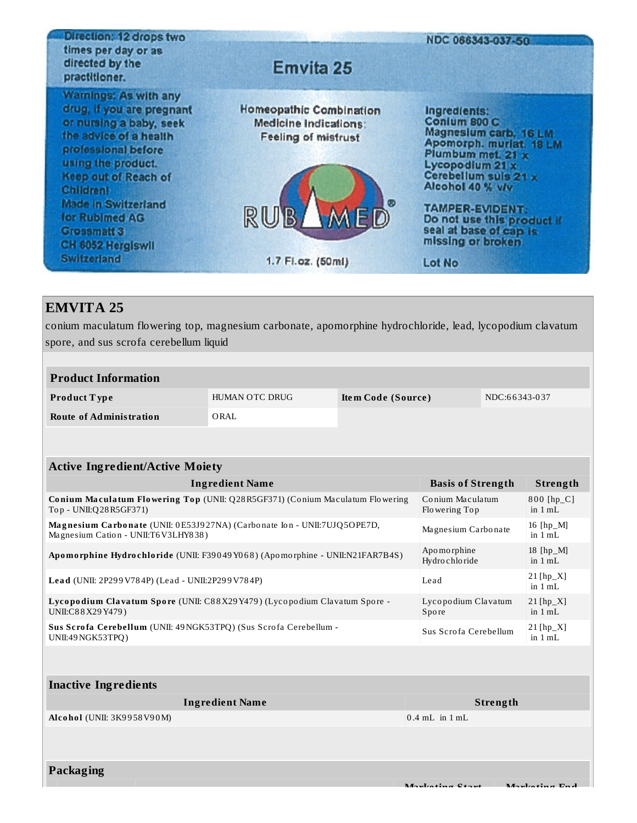| Direction: 12 drops two<br>times per day or as<br>directed by the<br>practitioner.                                                                                                                                                                                                                                              | <b>Emvita 25</b>                                                                                           | NDC 066343-037-50                                                                                                                                                                                                                                                                        |
|---------------------------------------------------------------------------------------------------------------------------------------------------------------------------------------------------------------------------------------------------------------------------------------------------------------------------------|------------------------------------------------------------------------------------------------------------|------------------------------------------------------------------------------------------------------------------------------------------------------------------------------------------------------------------------------------------------------------------------------------------|
| <b>Warnings: As with any</b><br>drug, if you are pregnant<br>or nursing a baby, seek<br>the advice of a health<br>professional before<br>using the product.<br><b>Keep out of Reach of</b><br><b>Children!</b><br><b>Made in Switzerland</b><br>for Rubimed AG<br><b>Grossmatt 3</b><br>CH 6052 Hergiswil<br><b>Switzerland</b> | Homeopathic Combination<br>Medicine Indications:<br><b>Feeling of mistrust</b><br>RUB<br>1.7 Fl.oz. (50ml) | Ingredients:<br>Conium 800 C<br>Magnesium carb. 16 LM.<br>Apomorph. muriat. 18 LM<br>Plumbum met. 21 x<br>Lycopodium 21 x<br>Cerebellum suis 21 x<br>Alcohol 40 % v/v<br><b>TAMPER-EVIDENT:</b><br>Do not use this product if<br>seal at base of cap is.<br>missing or broken.<br>Lot No |

# **EMVITA 25**

conium maculatum flowering top, magnesium carbonate, apomorphine hydrochloride, lead, lycopodium clavatum spore, and sus scrofa cerebellum liquid

| <b>Product Information</b>     |                |                    |               |
|--------------------------------|----------------|--------------------|---------------|
| <b>Product Type</b>            | HUMAN OTC DRUG | Item Code (Source) | NDC:66343-037 |
| <b>Route of Administration</b> | ORAL           |                    |               |

| <b>Active Ingredient/Active Moiety</b>                                                                           |                                   |                                    |  |  |
|------------------------------------------------------------------------------------------------------------------|-----------------------------------|------------------------------------|--|--|
| <b>Ingredient Name</b>                                                                                           | <b>Basis of Strength</b>          | <b>Strength</b>                    |  |  |
| <b>Conium Maculatum Flowering Top (UNII: Q28 R5GF371) (Conium Maculatum Flowering</b><br>Top - UNII:Q28R5GF371)  | Conium Maculatum<br>Flowering Top | $800$ [hp_C]<br>in $1 mL$          |  |  |
| Magnesium Carbonate (UNII: 0E53J927NA) (Carbonate Ion - UNII:7UJQ5OPE7D,<br>Magnesium Cation - UNII:T6 V3LHY838) | Magnesium Carbonate               | 16 $[hp_M]$<br>in $1 \text{ mL}$ . |  |  |
| Apomorphine Hydrochloride (UNII: F39049Y068) (Apomorphine - UNII:N21FAR7B4S)                                     | Apo mo rphine<br>Hydro chlo ride  | 18 $[hp_M]$<br>in $1 mL$           |  |  |
| Lead (UNII: 2P299V784P) (Lead - UNII:2P299V784P)                                                                 | Lead                              | $21$ [hp_X]<br>in $1 mL$           |  |  |
| Lycopodium Clavatum Spore (UNII: C88X29Y479) (Lycopodium Clavatum Spore -<br>UNII:C88X29Y479)                    | Lycopodium Clavatum<br>Spore      | $21$ [hp_X]<br>in $1 mL$           |  |  |
| Sus Scrofa Cerebellum (UNII: 49 NGK53TPQ) (Sus Scrofa Cerebellum -<br>UNII:49 NGK53TPQ)                          | Sus Scrofa Cerebellum             | $21$ [hp_X]<br>in $1 mL$           |  |  |
|                                                                                                                  |                                   |                                    |  |  |

| <b>Ingredient Name</b> | Strength           |
|------------------------|--------------------|
|                        | $0.4$ mL in $1$ mL |
|                        |                    |
|                        |                    |
|                        |                    |